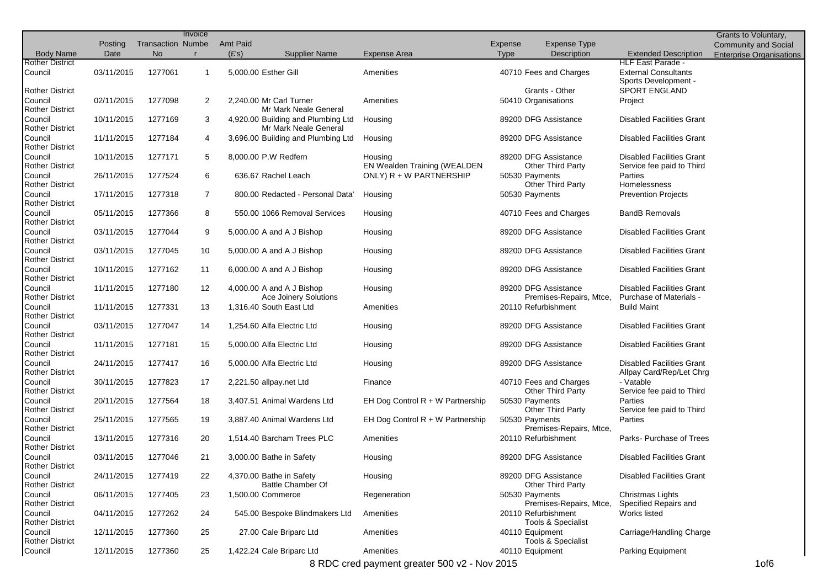|                                   |            |                          | <b>Invoice</b> |                                                             |                                         |                 |                                                  |                                                                          | Grants to Voluntary,            |
|-----------------------------------|------------|--------------------------|----------------|-------------------------------------------------------------|-----------------------------------------|-----------------|--------------------------------------------------|--------------------------------------------------------------------------|---------------------------------|
|                                   | Posting    | <b>Transaction Numbe</b> |                | Amt Paid                                                    |                                         | Expense         | Expense Type                                     |                                                                          | <b>Community and Social</b>     |
| <b>Body Name</b>                  | Date       | No.                      |                | (E's)<br><b>Supplier Name</b>                               | Expense Area                            | Type            | Description                                      | <b>Extended Description</b>                                              | <b>Enterprise Organisations</b> |
| Rother District<br>Council        | 03/11/2015 | 1277061                  | -1             | 5,000.00 Esther Gill                                        | Amenities                               |                 | 40710 Fees and Charges                           | HLF East Parade -<br><b>External Consultants</b><br>Sports Development - |                                 |
| <b>Rother District</b>            |            |                          |                |                                                             |                                         |                 | Grants - Other                                   | <b>SPORT ENGLAND</b>                                                     |                                 |
| Council<br><b>Rother District</b> | 02/11/2015 | 1277098                  | 2              | 2,240.00 Mr Carl Turner<br>Mr Mark Neale General            | Amenities                               |                 | 50410 Organisations                              | Project                                                                  |                                 |
| Council<br><b>Rother District</b> | 10/11/2015 | 1277169                  | 3              | 4,920.00 Building and Plumbing Ltd<br>Mr Mark Neale General | Housing                                 |                 | 89200 DFG Assistance                             | <b>Disabled Facilities Grant</b>                                         |                                 |
| Council<br><b>Rother District</b> | 11/11/2015 | 1277184                  | 4              | 3,696.00 Building and Plumbing Ltd                          | Housing                                 |                 | 89200 DFG Assistance                             | <b>Disabled Facilities Grant</b>                                         |                                 |
| Council<br><b>Rother District</b> | 10/11/2015 | 1277171                  | 5              | 8,000.00 P.W Redfern                                        | Housing<br>EN Wealden Training (WEALDEN |                 | 89200 DFG Assistance<br><b>Other Third Party</b> | <b>Disabled Facilities Grant</b><br>Service fee paid to Third            |                                 |
| Council<br><b>Rother District</b> | 26/11/2015 | 1277524                  | 6              | 636.67 Rachel Leach                                         | ONLY) R + W PARTNERSHIP                 | 50530 Payments  | Other Third Party                                | Parties<br>Homelessness                                                  |                                 |
| Council<br><b>Rother District</b> | 17/11/2015 | 1277318                  | 7              | 800.00 Redacted - Personal Data'                            | Housing                                 | 50530 Payments  |                                                  | <b>Prevention Projects</b>                                               |                                 |
| Council<br><b>Rother District</b> | 05/11/2015 | 1277366                  | 8              | 550.00 1066 Removal Services                                | Housing                                 |                 | 40710 Fees and Charges                           | <b>BandB Removals</b>                                                    |                                 |
| Council<br><b>Rother District</b> | 03/11/2015 | 1277044                  | 9              | 5,000.00 A and A J Bishop                                   | Housing                                 |                 | 89200 DFG Assistance                             | <b>Disabled Facilities Grant</b>                                         |                                 |
| Council<br><b>Rother District</b> | 03/11/2015 | 1277045                  | 10             | 5,000.00 A and A J Bishop                                   | Housing                                 |                 | 89200 DFG Assistance                             | <b>Disabled Facilities Grant</b>                                         |                                 |
| Council<br><b>Rother District</b> | 10/11/2015 | 1277162                  | 11             | 6,000.00 A and A J Bishop                                   | Housing                                 |                 | 89200 DFG Assistance                             | <b>Disabled Facilities Grant</b>                                         |                                 |
| Council<br><b>Rother District</b> | 11/11/2015 | 1277180                  | 12             | 4,000.00 A and A J Bishop<br>Ace Joinery Solutions          | Housing                                 |                 | 89200 DFG Assistance<br>Premises-Repairs, Mtce,  | <b>Disabled Facilities Grant</b><br>Purchase of Materials -              |                                 |
| Council<br><b>Rother District</b> | 11/11/2015 | 1277331                  | 13             | 1,316.40 South East Ltd                                     | Amenities                               |                 | 20110 Refurbishment                              | <b>Build Maint</b>                                                       |                                 |
| Council<br><b>Rother District</b> | 03/11/2015 | 1277047                  | 14             | 1,254.60 Alfa Electric Ltd                                  | Housing                                 |                 | 89200 DFG Assistance                             | <b>Disabled Facilities Grant</b>                                         |                                 |
| Council<br><b>Rother District</b> | 11/11/2015 | 1277181                  | 15             | 5,000.00 Alfa Electric Ltd                                  | Housing                                 |                 | 89200 DFG Assistance                             | <b>Disabled Facilities Grant</b>                                         |                                 |
| Council<br><b>Rother District</b> | 24/11/2015 | 1277417                  | 16             | 5,000.00 Alfa Electric Ltd                                  | Housing                                 |                 | 89200 DFG Assistance                             | <b>Disabled Facilities Grant</b><br>Allpay Card/Rep/Let Chrg             |                                 |
| Council<br><b>Rother District</b> | 30/11/2015 | 1277823                  | 17             | 2,221.50 allpay.net Ltd                                     | Finance                                 |                 | 40710 Fees and Charges<br>Other Third Party      | - Vatable<br>Service fee paid to Third                                   |                                 |
| Council<br><b>Rother District</b> | 20/11/2015 | 1277564                  | 18             | 3,407.51 Animal Wardens Ltd                                 | EH Dog Control $R + W$ Partnership      | 50530 Payments  | Other Third Party                                | Parties<br>Service fee paid to Third                                     |                                 |
| Council<br><b>Rother District</b> | 25/11/2015 | 1277565                  | 19             | 3,887.40 Animal Wardens Ltd                                 | EH Dog Control $R + W$ Partnership      | 50530 Payments  | Premises-Repairs, Mtce,                          | Parties                                                                  |                                 |
| Council<br><b>Rother District</b> | 13/11/2015 | 1277316                  | 20             | 1.514.40 Barcham Trees PLC                                  | Amenities                               |                 | 20110 Refurbishment                              | Parks- Purchase of Trees                                                 |                                 |
| Council<br><b>Rother District</b> | 03/11/2015 | 1277046                  | 21             | 3,000.00 Bathe in Safety                                    | Housing                                 |                 | 89200 DFG Assistance                             | <b>Disabled Facilities Grant</b>                                         |                                 |
| Council<br><b>Rother District</b> | 24/11/2015 | 1277419                  | 22             | 4,370.00 Bathe in Safety<br><b>Battle Chamber Of</b>        | Housing                                 |                 | 89200 DFG Assistance<br>Other Third Party        | <b>Disabled Facilities Grant</b>                                         |                                 |
| Council<br><b>Rother District</b> | 06/11/2015 | 1277405                  | 23             | 1,500.00 Commerce                                           | Regeneration                            | 50530 Payments  | Premises-Repairs, Mtce,                          | <b>Christmas Lights</b><br>Specified Repairs and                         |                                 |
| Council<br><b>Rother District</b> | 04/11/2015 | 1277262                  | 24             | 545.00 Bespoke Blindmakers Ltd                              | Amenities                               |                 | 20110 Refurbishment<br>Tools & Specialist        | Works listed                                                             |                                 |
| Council<br><b>Rother District</b> | 12/11/2015 | 1277360                  | 25             | 27.00 Cale Briparc Ltd                                      | Amenities                               | 40110 Equipment | <b>Tools &amp; Specialist</b>                    | Carriage/Handling Charge                                                 |                                 |
| Council                           | 12/11/2015 | 1277360                  | 25             | 1,422.24 Cale Briparc Ltd                                   | Amenities                               | 40110 Equipment |                                                  | Parking Equipment                                                        |                                 |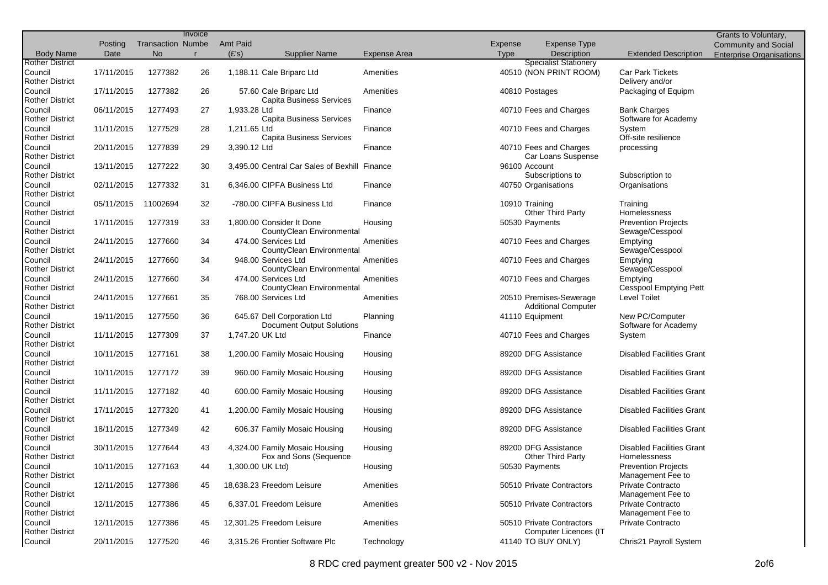|                                   |            |                          | <b>Invoice</b> |                                                                 |                     |             |                                                       |                                                  | Grants to Voluntary,            |
|-----------------------------------|------------|--------------------------|----------------|-----------------------------------------------------------------|---------------------|-------------|-------------------------------------------------------|--------------------------------------------------|---------------------------------|
|                                   | Posting    | <b>Transaction Numbe</b> |                | <b>Amt Paid</b>                                                 |                     | Expense     | Expense Type                                          |                                                  | <b>Community and Social</b>     |
| <b>Body Name</b>                  | Date       | N <sub>o</sub>           |                | (E's)<br>Supplier Name                                          | <b>Expense Area</b> | <b>Type</b> | Description                                           | <b>Extended Description</b>                      | <b>Enterprise Organisations</b> |
| <b>Rother District</b>            |            |                          |                |                                                                 |                     |             | <b>Specialist Stationery</b>                          |                                                  |                                 |
| Council<br><b>Rother District</b> | 17/11/2015 | 1277382                  | 26             | 1,188.11 Cale Briparc Ltd                                       | Amenities           |             | 40510 (NON PRINT ROOM)                                | <b>Car Park Tickets</b><br>Delivery and/or       |                                 |
| Council<br><b>Rother District</b> | 17/11/2015 | 1277382                  | 26             | 57.60 Cale Briparc Ltd<br><b>Capita Business Services</b>       | Amenities           |             | 40810 Postages                                        | Packaging of Equipm                              |                                 |
| Council<br><b>Rother District</b> | 06/11/2015 | 1277493                  | 27             | 1,933.28 Ltd<br><b>Capita Business Services</b>                 | Finance             |             | 40710 Fees and Charges                                | <b>Bank Charges</b><br>Software for Academy      |                                 |
| Council<br><b>Rother District</b> | 11/11/2015 | 1277529                  | 28             | 1.211.65 Ltd<br><b>Capita Business Services</b>                 | Finance             |             | 40710 Fees and Charges                                | System<br>Off-site resilience                    |                                 |
| Council<br><b>Rother District</b> | 20/11/2015 | 1277839                  | 29             | 3,390.12 Ltd                                                    | Finance             |             | 40710 Fees and Charges<br>Car Loans Suspense          | processing                                       |                                 |
| Council<br><b>Rother District</b> | 13/11/2015 | 1277222                  | 30             | 3.495.00 Central Car Sales of Bexhill Finance                   |                     |             | 96100 Account<br>Subscriptions to                     | Subscription to                                  |                                 |
| Council<br><b>Rother District</b> | 02/11/2015 | 1277332                  | 31             | 6,346.00 CIPFA Business Ltd                                     | Finance             |             | 40750 Organisations                                   | Organisations                                    |                                 |
| Council<br><b>Rother District</b> | 05/11/2015 | 11002694                 | 32             | -780.00 CIPFA Business Ltd                                      | Finance             |             | 10910 Training<br><b>Other Third Party</b>            | Training<br>Homelessness                         |                                 |
| Council<br><b>Rother District</b> | 17/11/2015 | 1277319                  | 33             | 1,800.00 Consider It Done<br>CountyClean Environmental          | Housing             |             | 50530 Payments                                        | <b>Prevention Projects</b><br>Sewage/Cesspool    |                                 |
| Council<br><b>Rother District</b> | 24/11/2015 | 1277660                  | 34             | 474.00 Services Ltd<br>CountyClean Environmental                | Amenities           |             | 40710 Fees and Charges                                | Emptying<br>Sewage/Cesspool                      |                                 |
| Council<br><b>Rother District</b> | 24/11/2015 | 1277660                  | 34             | 948.00 Services Ltd<br>CountyClean Environmental                | Amenities           |             | 40710 Fees and Charges                                | Emptying<br>Sewage/Cesspool                      |                                 |
| Council<br><b>Rother District</b> | 24/11/2015 | 1277660                  | 34             | 474.00 Services Ltd<br>CountyClean Environmental                | Amenities           |             | 40710 Fees and Charges                                | Emptying<br><b>Cesspool Emptying Pett</b>        |                                 |
| Council<br><b>Rother District</b> | 24/11/2015 | 1277661                  | 35             | 768.00 Services Ltd                                             | Amenities           |             | 20510 Premises-Sewerage<br><b>Additional Computer</b> | <b>Level Toilet</b>                              |                                 |
| Council<br><b>Rother District</b> | 19/11/2015 | 1277550                  | 36             | 645.67 Dell Corporation Ltd<br><b>Document Output Solutions</b> | Planning            |             | 41110 Equipment                                       | New PC/Computer<br>Software for Academy          |                                 |
| Council<br><b>Rother District</b> | 11/11/2015 | 1277309                  | 37             | 1,747.20 UK Ltd                                                 | Finance             |             | 40710 Fees and Charges                                | System                                           |                                 |
| Council<br><b>Rother District</b> | 10/11/2015 | 1277161                  | 38             | 1,200.00 Family Mosaic Housing                                  | Housing             |             | 89200 DFG Assistance                                  | <b>Disabled Facilities Grant</b>                 |                                 |
| Council<br><b>Rother District</b> | 10/11/2015 | 1277172                  | 39             | 960.00 Family Mosaic Housing                                    | Housing             |             | 89200 DFG Assistance                                  | <b>Disabled Facilities Grant</b>                 |                                 |
| Council<br><b>Rother District</b> | 11/11/2015 | 1277182                  | 40             | 600.00 Family Mosaic Housing                                    | Housing             |             | 89200 DFG Assistance                                  | <b>Disabled Facilities Grant</b>                 |                                 |
| Council<br><b>Rother District</b> | 17/11/2015 | 1277320                  | 41             | 1,200.00 Family Mosaic Housing                                  | Housing             |             | 89200 DFG Assistance                                  | <b>Disabled Facilities Grant</b>                 |                                 |
| Council<br><b>Rother District</b> | 18/11/2015 | 1277349                  | 42             | 606.37 Family Mosaic Housing                                    | Housing             |             | 89200 DFG Assistance                                  | <b>Disabled Facilities Grant</b>                 |                                 |
| Council<br><b>Rother District</b> | 30/11/2015 | 1277644                  | 43             | 4,324.00 Family Mosaic Housing<br>Fox and Sons (Sequence        | Housing             |             | 89200 DFG Assistance<br>Other Third Party             | <b>Disabled Facilities Grant</b><br>Homelessness |                                 |
| Council<br><b>Rother District</b> | 10/11/2015 | 1277163                  | 44             | 1,300.00 UK Ltd)                                                | Housing             |             | 50530 Payments                                        | <b>Prevention Projects</b><br>Management Fee to  |                                 |
| Council<br><b>Rother District</b> | 12/11/2015 | 1277386                  | 45             | 18,638.23 Freedom Leisure                                       | Amenities           |             | 50510 Private Contractors                             | Private Contracto<br>Management Fee to           |                                 |
| Council<br><b>Rother District</b> | 12/11/2015 | 1277386                  | 45             | 6,337.01 Freedom Leisure                                        | Amenities           |             | 50510 Private Contractors                             | Private Contracto<br>Management Fee to           |                                 |
| Council<br><b>Rother District</b> | 12/11/2015 | 1277386                  | 45             | 12,301.25 Freedom Leisure                                       | Amenities           |             | 50510 Private Contractors<br>Computer Licences (IT    | Private Contracto                                |                                 |
| Council                           | 20/11/2015 | 1277520                  | 46             | 3,315.26 Frontier Software Plc                                  | Technology          |             | 41140 TO BUY ONLY)                                    | Chris21 Payroll System                           |                                 |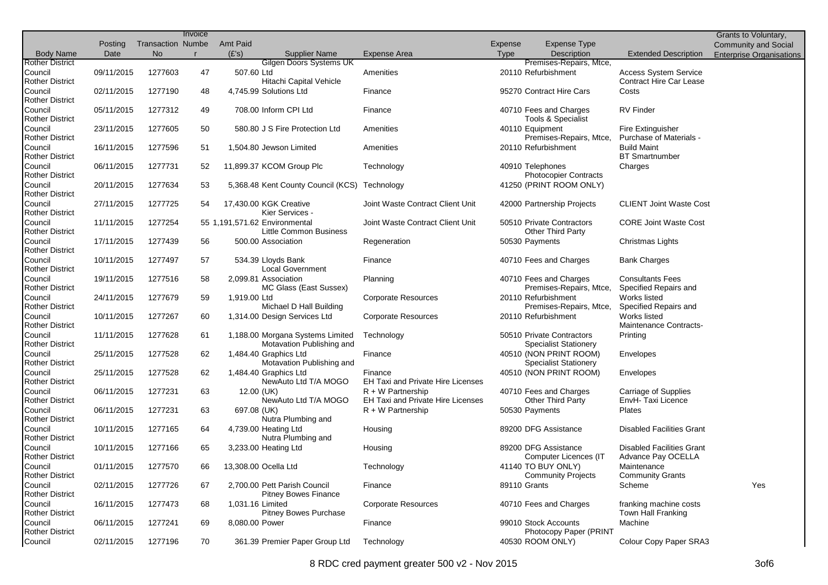|                                   |            |                          | Invoice |                                                                |                                                                 |              |                                                           |                                                                | Grants to Voluntary,            |
|-----------------------------------|------------|--------------------------|---------|----------------------------------------------------------------|-----------------------------------------------------------------|--------------|-----------------------------------------------------------|----------------------------------------------------------------|---------------------------------|
|                                   | Posting    | <b>Transaction Numbe</b> |         | <b>Amt Paid</b>                                                |                                                                 | Expense      | Expense Type                                              |                                                                | <b>Community and Social</b>     |
| <b>Body Name</b>                  | Date       | <b>No</b>                |         | (E's)<br><b>Supplier Name</b>                                  | Expense Area                                                    | <b>Type</b>  | <b>Description</b>                                        | <b>Extended Description</b>                                    | <b>Enterprise Organisations</b> |
| <b>Rother District</b>            |            |                          |         | Gilgen Doors Systems UK                                        |                                                                 |              | Premises-Repairs, Mtce,                                   |                                                                |                                 |
| Council<br><b>Rother District</b> | 09/11/2015 | 1277603                  | 47      | 507.60 Ltd<br>Hitachi Capital Vehicle                          | Amenities                                                       |              | 20110 Refurbishment                                       | <b>Access System Service</b><br><b>Contract Hire Car Lease</b> |                                 |
| Council<br><b>Rother District</b> | 02/11/2015 | 1277190                  | 48      | 4.745.99 Solutions Ltd                                         | Finance                                                         |              | 95270 Contract Hire Cars                                  | Costs                                                          |                                 |
| Council<br><b>Rother District</b> | 05/11/2015 | 1277312                  | 49      | 708.00 Inform CPI Ltd                                          | Finance                                                         |              | 40710 Fees and Charges<br><b>Tools &amp; Specialist</b>   | <b>RV Finder</b>                                               |                                 |
| Council<br><b>Rother District</b> | 23/11/2015 | 1277605                  | 50      | 580.80 J S Fire Protection Ltd                                 | Amenities                                                       |              | 40110 Equipment<br>Premises-Repairs, Mtce,                | Fire Extinguisher<br>Purchase of Materials -                   |                                 |
| Council<br><b>Rother District</b> | 16/11/2015 | 1277596                  | 51      | 1,504.80 Jewson Limited                                        | Amenities                                                       |              | 20110 Refurbishment                                       | <b>Build Maint</b><br><b>BT Smartnumber</b>                    |                                 |
| Council<br><b>Rother District</b> | 06/11/2015 | 1277731                  | 52      | 11,899.37 KCOM Group Plc                                       | Technology                                                      |              | 40910 Telephones<br><b>Photocopier Contracts</b>          | Charges                                                        |                                 |
| Council<br><b>Rother District</b> | 20/11/2015 | 1277634                  | 53      | 5,368.48 Kent County Council (KCS)                             | Technology                                                      |              | 41250 (PRINT ROOM ONLY)                                   |                                                                |                                 |
| Council<br><b>Rother District</b> | 27/11/2015 | 1277725                  | 54      | 17,430.00 KGK Creative<br>Kier Services -                      | Joint Waste Contract Client Unit                                |              | 42000 Partnership Projects                                | <b>CLIENT Joint Waste Cost</b>                                 |                                 |
| Council<br><b>Rother District</b> | 11/11/2015 | 1277254                  |         | 55 1.191.571.62 Environmental<br><b>Little Common Business</b> | Joint Waste Contract Client Unit                                |              | 50510 Private Contractors<br>Other Third Party            | <b>CORE Joint Waste Cost</b>                                   |                                 |
| Council<br><b>Rother District</b> | 17/11/2015 | 1277439                  | 56      | 500.00 Association                                             | Regeneration                                                    |              | 50530 Payments                                            | Christmas Lights                                               |                                 |
| Council<br><b>Rother District</b> | 10/11/2015 | 1277497                  | 57      | 534.39 Lloyds Bank<br><b>Local Government</b>                  | Finance                                                         |              | 40710 Fees and Charges                                    | <b>Bank Charges</b>                                            |                                 |
| Council<br><b>Rother District</b> | 19/11/2015 | 1277516                  | 58      | 2,099.81 Association<br>MC Glass (East Sussex)                 | Planning                                                        |              | 40710 Fees and Charges<br>Premises-Repairs, Mtce,         | <b>Consultants Fees</b><br>Specified Repairs and               |                                 |
| Council<br><b>Rother District</b> | 24/11/2015 | 1277679                  | 59      | 1,919.00 Ltd<br>Michael D Hall Building                        | <b>Corporate Resources</b>                                      |              | 20110 Refurbishment<br>Premises-Repairs, Mtce,            | Works listed<br>Specified Repairs and                          |                                 |
| Council<br><b>Rother District</b> | 10/11/2015 | 1277267                  | 60      | 1,314.00 Design Services Ltd                                   | Corporate Resources                                             |              | 20110 Refurbishment                                       | Works listed<br>Maintenance Contracts-                         |                                 |
| Council<br><b>Rother District</b> | 11/11/2015 | 1277628                  | 61      | 1,188.00 Morgana Systems Limited<br>Motavation Publishing and  | Technology                                                      |              | 50510 Private Contractors<br><b>Specialist Stationery</b> | Printing                                                       |                                 |
| Council<br><b>Rother District</b> | 25/11/2015 | 1277528                  | 62      | 1,484.40 Graphics Ltd<br>Motavation Publishing and             | Finance                                                         |              | 40510 (NON PRINT ROOM)<br><b>Specialist Stationery</b>    | Envelopes                                                      |                                 |
| Council<br><b>Rother District</b> | 25/11/2015 | 1277528                  | 62      | 1,484.40 Graphics Ltd<br>NewAuto Ltd T/A MOGO                  | Finance<br><b>EH Taxi and Private Hire Licenses</b>             |              | 40510 (NON PRINT ROOM)                                    | Envelopes                                                      |                                 |
| Council<br><b>Rother District</b> | 06/11/2015 | 1277231                  | 63      | 12.00 (UK)<br>NewAuto Ltd T/A MOGO                             | $R + W$ Partnership<br><b>EH Taxi and Private Hire Licenses</b> |              | 40710 Fees and Charges<br>Other Third Party               | Carriage of Supplies<br>EnvH-Taxi Licence                      |                                 |
| Council<br><b>Rother District</b> | 06/11/2015 | 1277231                  | 63      | 697.08 (UK)<br>Nutra Plumbing and                              | $R + W$ Partnership                                             |              | 50530 Payments                                            | Plates                                                         |                                 |
| Council<br><b>Rother District</b> | 10/11/2015 | 1277165                  | 64      | 4,739.00 Heating Ltd<br>Nutra Plumbing and                     | Housing                                                         |              | 89200 DFG Assistance                                      | <b>Disabled Facilities Grant</b>                               |                                 |
| Council<br><b>Rother District</b> | 10/11/2015 | 1277166                  | 65      | 3,233.00 Heating Ltd                                           | Housing                                                         |              | 89200 DFG Assistance<br>Computer Licences (IT             | <b>Disabled Facilities Grant</b><br>Advance Pay OCELLA         |                                 |
| Council<br><b>Rother District</b> | 01/11/2015 | 1277570                  | 66      | 13,308.00 Ocella Ltd                                           | Technology                                                      |              | 41140 TO BUY ONLY)<br><b>Community Projects</b>           | Maintenance<br><b>Community Grants</b>                         |                                 |
| Council<br><b>Rother District</b> | 02/11/2015 | 1277726                  | 67      | 2,700.00 Pett Parish Council<br><b>Pitney Bowes Finance</b>    | Finance                                                         | 89110 Grants |                                                           | Scheme                                                         | Yes                             |
| Council<br><b>Rother District</b> | 16/11/2015 | 1277473                  | 68      | 1.031.16 Limited<br><b>Pitney Bowes Purchase</b>               | <b>Corporate Resources</b>                                      |              | 40710 Fees and Charges                                    | franking machine costs<br>Town Hall Franking                   |                                 |
| Council<br><b>Rother District</b> | 06/11/2015 | 1277241                  | 69      | 8,080.00 Power                                                 | Finance                                                         |              | 99010 Stock Accounts<br>Photocopy Paper (PRINT            | Machine                                                        |                                 |
| Council                           | 02/11/2015 | 1277196                  | 70      | 361.39 Premier Paper Group Ltd                                 | Technology                                                      |              | 40530 ROOM ONLY)                                          | Colour Copy Paper SRA3                                         |                                 |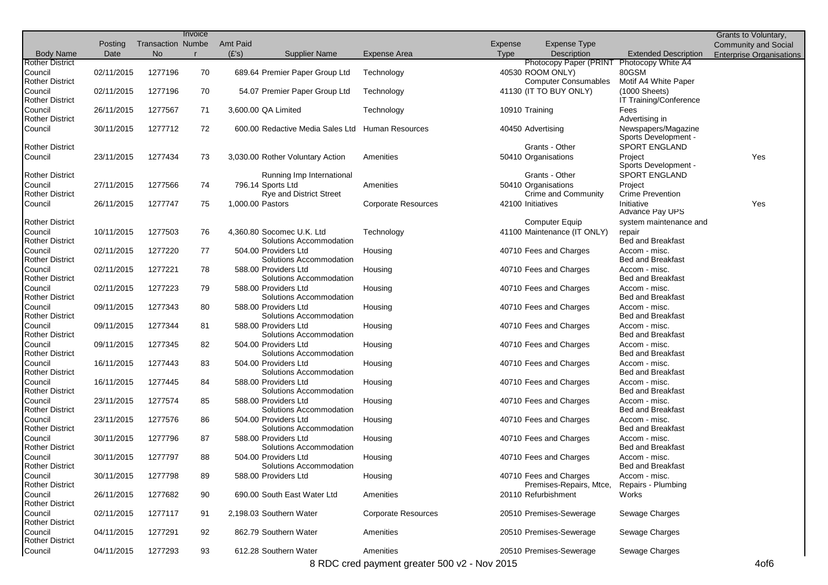| <b>Invoice</b><br>Grants to Voluntary, |            |                          |    |                                                      |                            |             |                                                   |                                             |                                 |
|----------------------------------------|------------|--------------------------|----|------------------------------------------------------|----------------------------|-------------|---------------------------------------------------|---------------------------------------------|---------------------------------|
|                                        | Posting    | <b>Transaction Numbe</b> |    | Amt Paid                                             |                            | Expense     | <b>Expense Type</b>                               |                                             | <b>Community and Social</b>     |
| <b>Body Name</b>                       | Date       | <b>No</b>                | r  | (E's)<br><b>Supplier Name</b>                        | <b>Expense Area</b>        | <b>Type</b> | <b>Description</b>                                | <b>Extended Description</b>                 | <b>Enterprise Organisations</b> |
| <b>Rother District</b><br>Council      | 02/11/2015 | 1277196                  | 70 | 689.64 Premier Paper Group Ltd                       | Technology                 |             | <b>Photocopy Paper (PRINT</b><br>40530 ROOM ONLY) | <b>Photocopy White A4</b><br>80GSM          |                                 |
| <b>Rother District</b>                 |            |                          |    |                                                      |                            |             | <b>Computer Consumables</b>                       | Motif A4 White Paper                        |                                 |
| Council<br><b>Rother District</b>      | 02/11/2015 | 1277196                  | 70 | 54.07 Premier Paper Group Ltd                        | Technology                 |             | 41130 (IT TO BUY ONLY)                            | (1000 Sheets)<br>IT Training/Conference     |                                 |
| Council<br><b>Rother District</b>      | 26/11/2015 | 1277567                  | 71 | 3,600.00 QA Limited                                  | Technology                 |             | 10910 Training                                    | Fees<br>Advertising in                      |                                 |
| Council                                | 30/11/2015 | 1277712                  | 72 | 600.00 Redactive Media Sales Ltd Human Resources     |                            |             | 40450 Advertising                                 | Newspapers/Magazine<br>Sports Development - |                                 |
| <b>Rother District</b>                 |            |                          |    |                                                      |                            |             | Grants - Other                                    | <b>SPORT ENGLAND</b>                        |                                 |
| Council                                | 23/11/2015 | 1277434                  | 73 | 3,030.00 Rother Voluntary Action                     | Amenities                  |             | 50410 Organisations                               | Project<br>Sports Development -             | Yes                             |
| <b>Rother District</b>                 |            |                          |    | Running Imp International                            |                            |             | Grants - Other                                    | <b>SPORT ENGLAND</b>                        |                                 |
| Council<br><b>Rother District</b>      | 27/11/2015 | 1277566                  | 74 | 796.14 Sports Ltd<br><b>Rye and District Street</b>  | Amenities                  |             | 50410 Organisations<br>Crime and Community        | Project<br><b>Crime Prevention</b>          |                                 |
| Council                                | 26/11/2015 | 1277747                  | 75 | 1,000.00 Pastors                                     | <b>Corporate Resources</b> |             | 42100 Initiatives                                 | Initiative<br>Advance Pay UPS               | Yes                             |
| <b>Rother District</b>                 |            |                          |    |                                                      |                            |             | <b>Computer Equip</b>                             | system maintenance and                      |                                 |
| Council<br><b>Rother District</b>      | 10/11/2015 | 1277503                  | 76 | 4,360.80 Socomec U.K. Ltd<br>Solutions Accommodation | Technology                 |             | 41100 Maintenance (IT ONLY)                       | repair<br><b>Bed and Breakfast</b>          |                                 |
| Council<br><b>Rother District</b>      | 02/11/2015 | 1277220                  | 77 | 504.00 Providers Ltd<br>Solutions Accommodation      | Housing                    |             | 40710 Fees and Charges                            | Accom - misc.<br><b>Bed and Breakfast</b>   |                                 |
| Council<br><b>Rother District</b>      | 02/11/2015 | 1277221                  | 78 | 588.00 Providers Ltd<br>Solutions Accommodation      | Housing                    |             | 40710 Fees and Charges                            | Accom - misc.<br><b>Bed and Breakfast</b>   |                                 |
| Council<br><b>Rother District</b>      | 02/11/2015 | 1277223                  | 79 | 588.00 Providers Ltd<br>Solutions Accommodation      | Housing                    |             | 40710 Fees and Charges                            | Accom - misc.<br><b>Bed and Breakfast</b>   |                                 |
| Council<br><b>Rother District</b>      | 09/11/2015 | 1277343                  | 80 | 588.00 Providers Ltd<br>Solutions Accommodation      | Housing                    |             | 40710 Fees and Charges                            | Accom - misc.<br><b>Bed and Breakfast</b>   |                                 |
| Council<br><b>Rother District</b>      | 09/11/2015 | 1277344                  | 81 | 588.00 Providers Ltd<br>Solutions Accommodation      | Housing                    |             | 40710 Fees and Charges                            | Accom - misc.<br><b>Bed and Breakfast</b>   |                                 |
| Council<br><b>Rother District</b>      | 09/11/2015 | 1277345                  | 82 | 504.00 Providers Ltd<br>Solutions Accommodation      | Housing                    |             | 40710 Fees and Charges                            | Accom - misc.<br><b>Bed and Breakfast</b>   |                                 |
| Council<br><b>Rother District</b>      | 16/11/2015 | 1277443                  | 83 | 504.00 Providers Ltd<br>Solutions Accommodation      | Housing                    |             | 40710 Fees and Charges                            | Accom - misc.<br><b>Bed and Breakfast</b>   |                                 |
| Council<br><b>Rother District</b>      | 16/11/2015 | 1277445                  | 84 | 588.00 Providers Ltd<br>Solutions Accommodation      | Housing                    |             | 40710 Fees and Charges                            | Accom - misc.<br><b>Bed and Breakfast</b>   |                                 |
| Council<br><b>Rother District</b>      | 23/11/2015 | 1277574                  | 85 | 588.00 Providers Ltd<br>Solutions Accommodation      | Housing                    |             | 40710 Fees and Charges                            | Accom - misc.<br><b>Bed and Breakfast</b>   |                                 |
| Council<br><b>Rother District</b>      | 23/11/2015 | 1277576                  | 86 | 504.00 Providers Ltd<br>Solutions Accommodation      | Housing                    |             | 40710 Fees and Charges                            | Accom - misc.<br><b>Bed and Breakfast</b>   |                                 |
| Council<br><b>Rother District</b>      | 30/11/2015 | 1277796                  | 87 | 588.00 Providers Ltd<br>Solutions Accommodation      | Housing                    |             | 40710 Fees and Charges                            | Accom - misc.<br><b>Bed and Breakfast</b>   |                                 |
| Council<br><b>Rother District</b>      | 30/11/2015 | 1277797                  | 88 | 504.00 Providers Ltd<br>Solutions Accommodation      | Housing                    |             | 40710 Fees and Charges                            | Accom - misc.<br><b>Bed and Breakfast</b>   |                                 |
| Council<br><b>Rother District</b>      | 30/11/2015 | 1277798                  | 89 | 588.00 Providers Ltd                                 | Housing                    |             | 40710 Fees and Charges<br>Premises-Repairs, Mtce, | Accom - misc.<br>Repairs - Plumbing         |                                 |
| Council<br><b>Rother District</b>      | 26/11/2015 | 1277682                  | 90 | 690.00 South East Water Ltd                          | Amenities                  |             | 20110 Refurbishment                               | Works                                       |                                 |
| Council<br><b>Rother District</b>      | 02/11/2015 | 1277117                  | 91 | 2,198.03 Southern Water                              | <b>Corporate Resources</b> |             | 20510 Premises-Sewerage                           | Sewage Charges                              |                                 |
| Council<br><b>Rother District</b>      | 04/11/2015 | 1277291                  | 92 | 862.79 Southern Water                                | Amenities                  |             | 20510 Premises-Sewerage                           | Sewage Charges                              |                                 |
| Council                                | 04/11/2015 | 1277293                  | 93 | 612.28 Southern Water                                | Amenities                  |             | 20510 Premises-Sewerage                           | Sewage Charges                              |                                 |

8 RDC cred payment greater 500 v2 - Nov 2015 406 and the state of the state of the state of the 4of6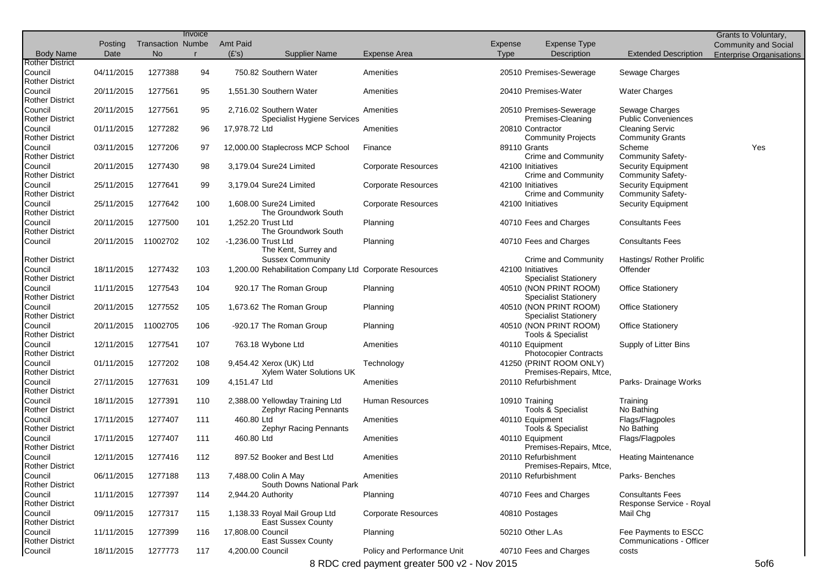|                                   |            |                          | Invoice |                                                                  |                             |                   |                                                        |                                                       | Grants to Voluntary,            |
|-----------------------------------|------------|--------------------------|---------|------------------------------------------------------------------|-----------------------------|-------------------|--------------------------------------------------------|-------------------------------------------------------|---------------------------------|
|                                   | Posting    | <b>Transaction Numbe</b> |         | <b>Amt Paid</b>                                                  |                             | Expense           | <b>Expense Type</b>                                    |                                                       | <b>Community and Social</b>     |
| <b>Body Name</b>                  | Date       | <b>No</b>                |         | (E's)<br><b>Supplier Name</b>                                    | Expense Area                | <b>Type</b>       | Description                                            | <b>Extended Description</b>                           | <b>Enterprise Organisations</b> |
| <b>Rother District</b>            |            |                          |         |                                                                  |                             |                   |                                                        |                                                       |                                 |
| Council<br><b>Rother District</b> | 04/11/2015 | 1277388                  | 94      | 750.82 Southern Water                                            | Amenities                   |                   | 20510 Premises-Sewerage                                | Sewage Charges                                        |                                 |
| Council<br><b>Rother District</b> | 20/11/2015 | 1277561                  | 95      | 1,551.30 Southern Water                                          | Amenities                   |                   | 20410 Premises-Water                                   | <b>Water Charges</b>                                  |                                 |
| Council<br><b>Rother District</b> | 20/11/2015 | 1277561                  | 95      | 2,716.02 Southern Water<br>Specialist Hygiene Services           | Amenities                   |                   | 20510 Premises-Sewerage<br>Premises-Cleaning           | Sewage Charges<br><b>Public Conveniences</b>          |                                 |
| Council<br><b>Rother District</b> | 01/11/2015 | 1277282                  | 96      | 17,978.72 Ltd                                                    | Amenities                   | 20810 Contractor  | <b>Community Projects</b>                              | <b>Cleaning Servic</b><br><b>Community Grants</b>     |                                 |
| Council<br><b>Rother District</b> | 03/11/2015 | 1277206                  | 97      | 12,000.00 Staplecross MCP School                                 | Finance                     | 89110 Grants      | <b>Crime and Community</b>                             | Scheme                                                | Yes                             |
| Council                           | 20/11/2015 | 1277430                  | 98      | 3,179.04 Sure24 Limited                                          | <b>Corporate Resources</b>  | 42100 Initiatives |                                                        | <b>Community Safety-</b><br><b>Security Equipment</b> |                                 |
| <b>Rother District</b><br>Council | 25/11/2015 | 1277641                  | 99      | 3,179.04 Sure24 Limited                                          | <b>Corporate Resources</b>  | 42100 Initiatives | <b>Crime and Community</b>                             | <b>Community Safety-</b><br><b>Security Equipment</b> |                                 |
| <b>Rother District</b>            |            |                          |         |                                                                  |                             |                   | Crime and Community                                    | <b>Community Safety-</b>                              |                                 |
| Council<br><b>Rother District</b> | 25/11/2015 | 1277642                  | 100     | 1,608.00 Sure24 Limited<br>The Groundwork South                  | Corporate Resources         | 42100 Initiatives |                                                        | <b>Security Equipment</b>                             |                                 |
| Council<br><b>Rother District</b> | 20/11/2015 | 1277500                  | 101     | 1,252.20 Trust Ltd<br>The Groundwork South                       | Planning                    |                   | 40710 Fees and Charges                                 | <b>Consultants Fees</b>                               |                                 |
| Council                           | 20/11/2015 | 11002702                 | 102     | -1,236.00 Trust Ltd<br>The Kent, Surrey and                      | Planning                    |                   | 40710 Fees and Charges                                 | <b>Consultants Fees</b>                               |                                 |
| <b>Rother District</b>            |            |                          |         | <b>Sussex Community</b>                                          |                             |                   | Crime and Community                                    | Hastings/ Rother Prolific                             |                                 |
| Council<br><b>Rother District</b> | 18/11/2015 | 1277432                  | 103     | 1,200.00 Rehabilitation Company Ltd Corporate Resources          |                             | 42100 Initiatives | <b>Specialist Stationery</b>                           | Offender                                              |                                 |
| Council<br><b>Rother District</b> | 11/11/2015 | 1277543                  | 104     | 920.17 The Roman Group                                           | Planning                    |                   | 40510 (NON PRINT ROOM)<br><b>Specialist Stationery</b> | <b>Office Stationery</b>                              |                                 |
| Council<br><b>Rother District</b> | 20/11/2015 | 1277552                  | 105     | 1,673.62 The Roman Group                                         | Planning                    |                   | 40510 (NON PRINT ROOM)<br><b>Specialist Stationery</b> | <b>Office Stationery</b>                              |                                 |
| Council<br><b>Rother District</b> | 20/11/2015 | 11002705                 | 106     | -920.17 The Roman Group                                          | Planning                    |                   | 40510 (NON PRINT ROOM)<br>Tools & Specialist           | <b>Office Stationery</b>                              |                                 |
| Council<br><b>Rother District</b> | 12/11/2015 | 1277541                  | 107     | 763.18 Wybone Ltd                                                | Amenities                   | 40110 Equipment   | <b>Photocopier Contracts</b>                           | Supply of Litter Bins                                 |                                 |
| Council<br><b>Rother District</b> | 01/11/2015 | 1277202                  | 108     | 9,454.42 Xerox (UK) Ltd<br><b>Xylem Water Solutions UK</b>       | Technology                  |                   | 41250 (PRINT ROOM ONLY)<br>Premises-Repairs, Mtce,     |                                                       |                                 |
| Council<br><b>Rother District</b> | 27/11/2015 | 1277631                  | 109     | 4,151.47 Ltd                                                     | Amenities                   |                   | 20110 Refurbishment                                    | Parks-Drainage Works                                  |                                 |
| Council<br><b>Rother District</b> | 18/11/2015 | 1277391                  | 110     | 2,388.00 Yellowday Training Ltd<br><b>Zephyr Racing Pennants</b> | Human Resources             | 10910 Training    | <b>Tools &amp; Specialist</b>                          | Training<br>No Bathing                                |                                 |
| Council<br><b>Rother District</b> | 17/11/2015 | 1277407                  | 111     | 460.80 Ltd<br>Zephyr Racing Pennants                             | Amenities                   | 40110 Equipment   | <b>Tools &amp; Specialist</b>                          | Flags/Flagpoles<br>No Bathing                         |                                 |
| Council<br><b>Rother District</b> | 17/11/2015 | 1277407                  | 111     | 460.80 Ltd                                                       | Amenities                   | 40110 Equipment   | Premises-Repairs, Mtce,                                | Flags/Flagpoles                                       |                                 |
| Council<br><b>Rother District</b> | 12/11/2015 | 1277416                  | 112     | 897.52 Booker and Best Ltd                                       | Amenities                   |                   | 20110 Refurbishment<br>Premises-Repairs, Mtce,         | <b>Heating Maintenance</b>                            |                                 |
| Council<br><b>Rother District</b> | 06/11/2015 | 1277188                  | 113     | 7,488.00 Colin A May<br>South Downs National Park                | Amenities                   |                   | 20110 Refurbishment                                    | Parks-Benches                                         |                                 |
| Council<br><b>Rother District</b> | 11/11/2015 | 1277397                  | 114     | 2,944.20 Authority                                               | Planning                    |                   | 40710 Fees and Charges                                 | <b>Consultants Fees</b><br>Response Service - Royal   |                                 |
| Council<br><b>Rother District</b> | 09/11/2015 | 1277317                  | 115     | 1,138.33 Royal Mail Group Ltd<br><b>East Sussex County</b>       | <b>Corporate Resources</b>  | 40810 Postages    |                                                        | Mail Chg                                              |                                 |
| Council<br><b>Rother District</b> | 11/11/2015 | 1277399                  | 116     | 17,808.00 Council<br><b>East Sussex County</b>                   | Planning                    | 50210 Other L.As  |                                                        | Fee Payments to ESCC<br>Communications - Officer      |                                 |
| Council                           | 18/11/2015 | 1277773                  | 117     | 4,200.00 Council                                                 | Policy and Performance Unit |                   | 40710 Fees and Charges                                 | costs                                                 |                                 |

8 RDC cred payment greater 500 v2 - Nov 2015 500 million control to the state of the state of the state of the state of the state of the state of the state of the state of the state of the state of the state of the state o